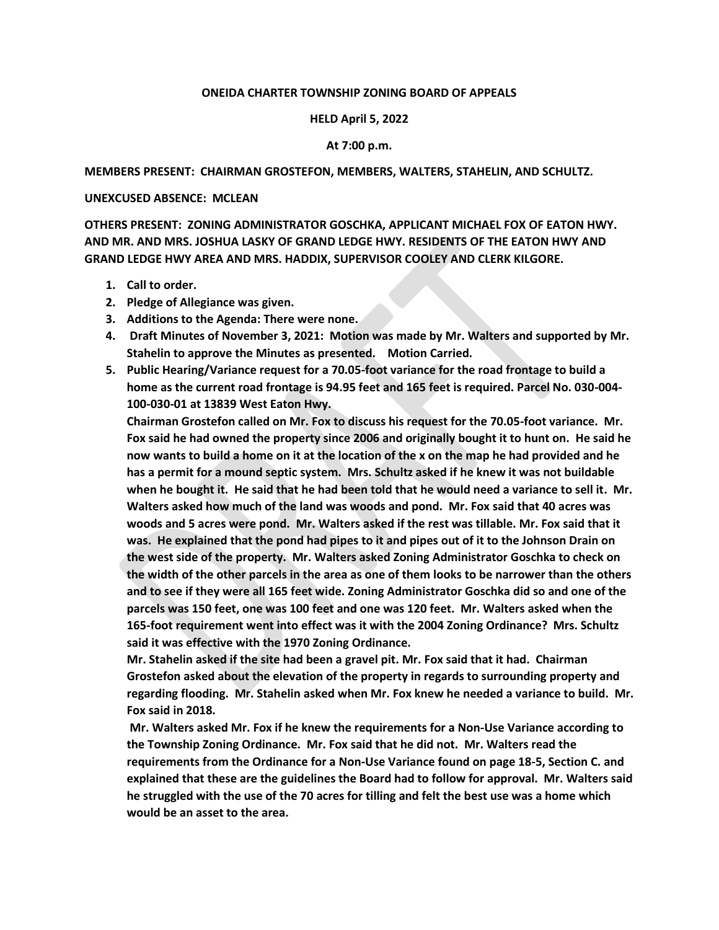# **ONEIDA CHARTER TOWNSHIP ZONING BOARD OF APPEALS**

### **HELD April 5, 2022**

# **At 7:00 p.m.**

### **MEMBERS PRESENT: CHAIRMAN GROSTEFON, MEMBERS, WALTERS, STAHELIN, AND SCHULTZ.**

#### **UNEXCUSED ABSENCE: MCLEAN**

**OTHERS PRESENT: ZONING ADMINISTRATOR GOSCHKA, APPLICANT MICHAEL FOX OF EATON HWY. AND MR. AND MRS. JOSHUA LASKY OF GRAND LEDGE HWY. RESIDENTS OF THE EATON HWY AND GRAND LEDGE HWY AREA AND MRS. HADDIX, SUPERVISOR COOLEY AND CLERK KILGORE.** 

- **1. Call to order.**
- **2. Pledge of Allegiance was given.**
- **3. Additions to the Agenda: There were none.**
- **4. Draft Minutes of November 3, 2021: Motion was made by Mr. Walters and supported by Mr. Stahelin to approve the Minutes as presented. Motion Carried.**
- **5. Public Hearing/Variance request for a 70.05-foot variance for the road frontage to build a home as the current road frontage is 94.95 feet and 165 feet is required. Parcel No. 030-004- 100-030-01 at 13839 West Eaton Hwy.**

**Chairman Grostefon called on Mr. Fox to discuss his request for the 70.05-foot variance. Mr. Fox said he had owned the property since 2006 and originally bought it to hunt on. He said he now wants to build a home on it at the location of the x on the map he had provided and he has a permit for a mound septic system. Mrs. Schultz asked if he knew it was not buildable when he bought it. He said that he had been told that he would need a variance to sell it. Mr. Walters asked how much of the land was woods and pond. Mr. Fox said that 40 acres was woods and 5 acres were pond. Mr. Walters asked if the rest was tillable. Mr. Fox said that it was. He explained that the pond had pipes to it and pipes out of it to the Johnson Drain on the west side of the property. Mr. Walters asked Zoning Administrator Goschka to check on the width of the other parcels in the area as one of them looks to be narrower than the others and to see if they were all 165 feet wide. Zoning Administrator Goschka did so and one of the parcels was 150 feet, one was 100 feet and one was 120 feet. Mr. Walters asked when the 165-foot requirement went into effect was it with the 2004 Zoning Ordinance? Mrs. Schultz said it was effective with the 1970 Zoning Ordinance.** 

**Mr. Stahelin asked if the site had been a gravel pit. Mr. Fox said that it had. Chairman Grostefon asked about the elevation of the property in regards to surrounding property and regarding flooding. Mr. Stahelin asked when Mr. Fox knew he needed a variance to build. Mr. Fox said in 2018.** 

**Mr. Walters asked Mr. Fox if he knew the requirements for a Non-Use Variance according to the Township Zoning Ordinance. Mr. Fox said that he did not. Mr. Walters read the requirements from the Ordinance for a Non-Use Variance found on page 18-5, Section C. and explained that these are the guidelines the Board had to follow for approval. Mr. Walters said he struggled with the use of the 70 acres for tilling and felt the best use was a home which would be an asset to the area.**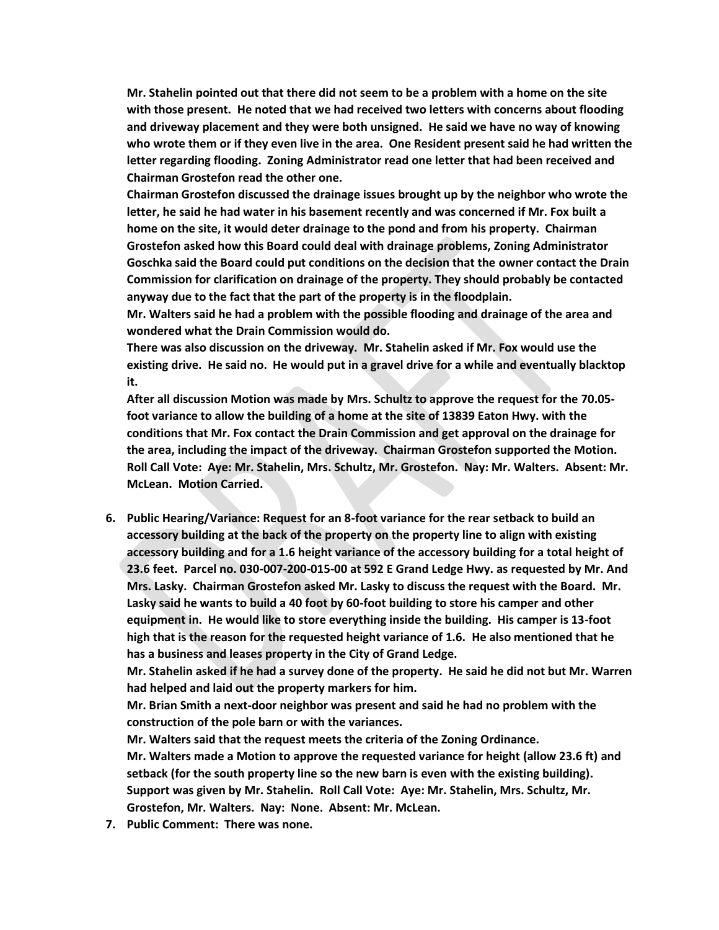**Mr. Stahelin pointed out that there did not seem to be a problem with a home on the site with those present. He noted that we had received two letters with concerns about flooding and driveway placement and they were both unsigned. He said we have no way of knowing who wrote them or if they even live in the area. One Resident present said he had written the letter regarding flooding. Zoning Administrator read one letter that had been received and Chairman Grostefon read the other one.** 

**Chairman Grostefon discussed the drainage issues brought up by the neighbor who wrote the letter, he said he had water in his basement recently and was concerned if Mr. Fox built a home on the site, it would deter drainage to the pond and from his property. Chairman Grostefon asked how this Board could deal with drainage problems, Zoning Administrator Goschka said the Board could put conditions on the decision that the owner contact the Drain Commission for clarification on drainage of the property. They should probably be contacted anyway due to the fact that the part of the property is in the floodplain.**

**Mr. Walters said he had a problem with the possible flooding and drainage of the area and wondered what the Drain Commission would do.** 

**There was also discussion on the driveway. Mr. Stahelin asked if Mr. Fox would use the existing drive. He said no. He would put in a gravel drive for a while and eventually blacktop it.** 

**After all discussion Motion was made by Mrs. Schultz to approve the request for the 70.05 foot variance to allow the building of a home at the site of 13839 Eaton Hwy. with the conditions that Mr. Fox contact the Drain Commission and get approval on the drainage for the area, including the impact of the driveway. Chairman Grostefon supported the Motion. Roll Call Vote: Aye: Mr. Stahelin, Mrs. Schultz, Mr. Grostefon. Nay: Mr. Walters. Absent: Mr. McLean. Motion Carried.** 

**6. Public Hearing/Variance: Request for an 8-foot variance for the rear setback to build an accessory building at the back of the property on the property line to align with existing accessory building and for a 1.6 height variance of the accessory building for a total height of 23.6 feet. Parcel no. 030-007-200-015-00 at 592 E Grand Ledge Hwy. as requested by Mr. And Mrs. Lasky. Chairman Grostefon asked Mr. Lasky to discuss the request with the Board. Mr. Lasky said he wants to build a 40 foot by 60-foot building to store his camper and other equipment in. He would like to store everything inside the building. His camper is 13-foot high that is the reason for the requested height variance of 1.6. He also mentioned that he has a business and leases property in the City of Grand Ledge.** 

**Mr. Stahelin asked if he had a survey done of the property. He said he did not but Mr. Warren had helped and laid out the property markers for him.** 

**Mr. Brian Smith a next-door neighbor was present and said he had no problem with the construction of the pole barn or with the variances.** 

**Mr. Walters said that the request meets the criteria of the Zoning Ordinance. Mr. Walters made a Motion to approve the requested variance for height (allow 23.6 ft) and setback (for the south property line so the new barn is even with the existing building). Support was given by Mr. Stahelin. Roll Call Vote: Aye: Mr. Stahelin, Mrs. Schultz, Mr. Grostefon, Mr. Walters. Nay: None. Absent: Mr. McLean.**

**7. Public Comment: There was none.**